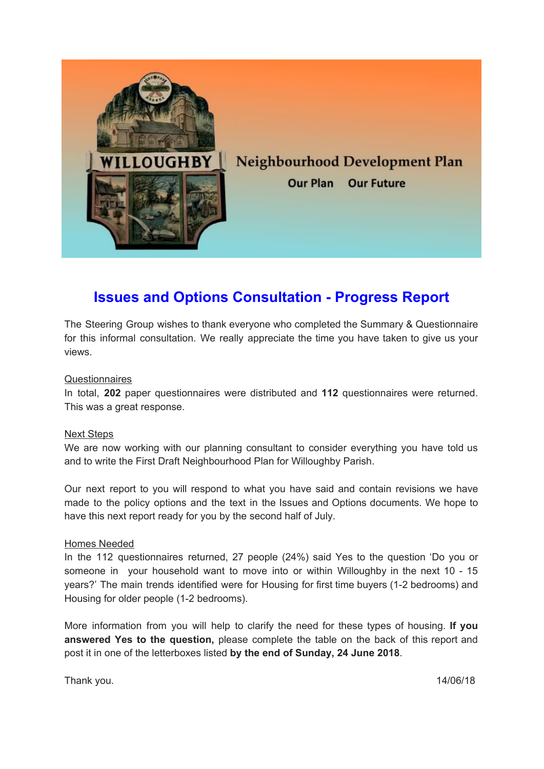

## **Issues and Options Consultation - Progress Report**

The Steering Group wishes to thank everyone who completed the Summary & Questionnaire for this informal consultation. We really appreciate the time you have taken to give us your views.

### **Questionnaires**

In total, **202** paper questionnaires were distributed and **112** questionnaires were returned. This was a great response.

#### Next Steps

We are now working with our planning consultant to consider everything you have told us and to write the First Draft Neighbourhood Plan for Willoughby Parish.

Our next report to you will respond to what you have said and contain revisions we have made to the policy options and the text in the Issues and Options documents. We hope to have this next report ready for you by the second half of July.

#### Homes Needed

In the 112 questionnaires returned, 27 people (24%) said Yes to the question 'Do you or someone in your household want to move into or within Willoughby in the next 10 - 15 years?' The main trends identified were for Housing for first time buyers (1-2 bedrooms) and Housing for older people (1-2 bedrooms).

More information from you will help to clarify the need for these types of housing. **If you answered Yes to the question,** please complete the table on the back of this report and post it in one of the letterboxes listed **by the end of Sunday, 24 June 2018**.

Thank you. 14/06/18